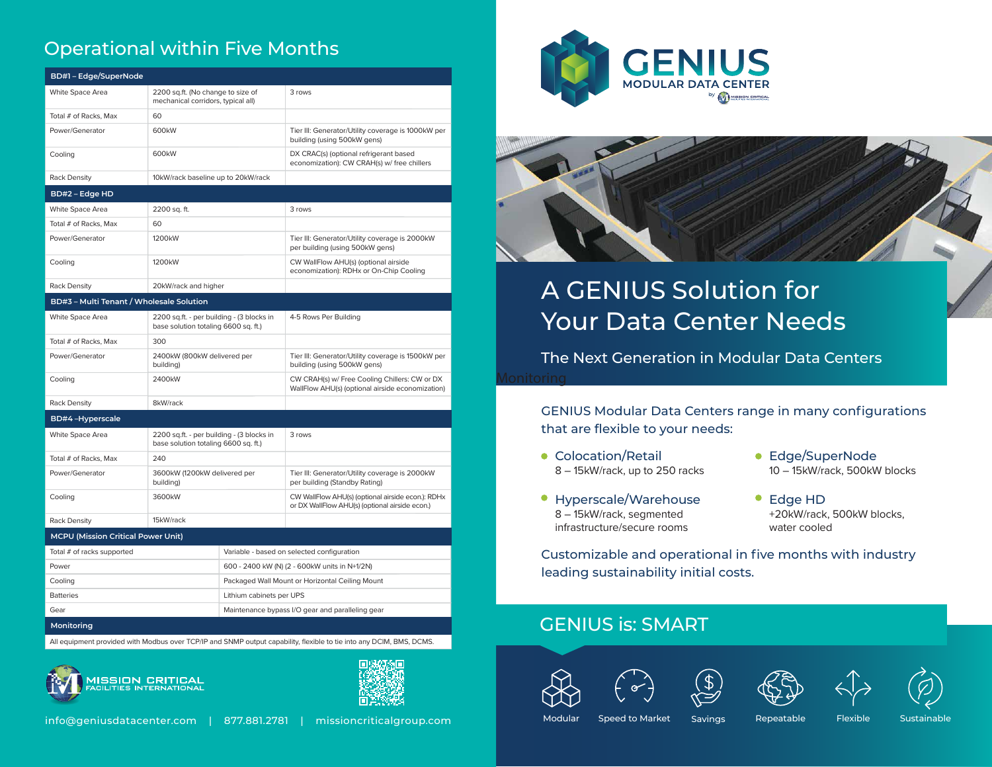# Operational within Five Months

| BD#1-Edge/SuperNode                       |                                                                                   |                                                  |                                                                                                                      |
|-------------------------------------------|-----------------------------------------------------------------------------------|--------------------------------------------------|----------------------------------------------------------------------------------------------------------------------|
| White Space Area                          | 2200 sq.ft. (No change to size of<br>mechanical corridors, typical all)           |                                                  | 3 rows                                                                                                               |
| Total # of Racks, Max                     | 60                                                                                |                                                  |                                                                                                                      |
| Power/Generator                           | 600 <sub>k</sub> W                                                                |                                                  | Tier III: Generator/Utility coverage is 1000kW per<br>building (using 500kW gens)                                    |
| Cooling                                   | 600 <sub>k</sub> W                                                                |                                                  | DX CRAC(s) (optional refrigerant based<br>economization): CW CRAH(s) w/ free chillers                                |
| <b>Rack Density</b>                       | 10kW/rack baseline up to 20kW/rack                                                |                                                  |                                                                                                                      |
| BD#2 - Edge HD                            |                                                                                   |                                                  |                                                                                                                      |
| White Space Area                          | 2200 sq. ft.                                                                      |                                                  | 3 rows                                                                                                               |
| Total # of Racks, Max                     | 60                                                                                |                                                  |                                                                                                                      |
| Power/Generator                           | 1200 <sub>k</sub> W                                                               |                                                  | Tier III: Generator/Utility coverage is 2000kW<br>per building (using 500kW gens)                                    |
| Cooling                                   | 1200 <sub>k</sub> W                                                               |                                                  | CW WallFlow AHU(s) (optional airside<br>economization): RDHx or On-Chip Cooling                                      |
| <b>Rack Density</b>                       | 20kW/rack and higher                                                              |                                                  |                                                                                                                      |
| BD#3 - Multi Tenant / Wholesale Solution  |                                                                                   |                                                  |                                                                                                                      |
| White Space Area                          | 2200 sq.ft. - per building - (3 blocks in<br>base solution totaling 6600 sq. ft.) |                                                  | 4-5 Rows Per Building                                                                                                |
| Total # of Racks, Max                     | 300                                                                               |                                                  |                                                                                                                      |
| Power/Generator                           | 2400kW (800kW delivered per<br>building)                                          |                                                  | Tier III: Generator/Utility coverage is 1500kW per<br>building (using 500kW gens)                                    |
| Cooling                                   | 2400kW                                                                            |                                                  | CW CRAH(s) w/ Free Cooling Chillers: CW or DX<br>WallFlow AHU(s) (optional airside economization)                    |
| <b>Rack Density</b>                       | 8kW/rack                                                                          |                                                  |                                                                                                                      |
| <b>BD#4-Hyperscale</b>                    |                                                                                   |                                                  |                                                                                                                      |
| White Space Area                          | 2200 sq.ft. - per building - (3 blocks in<br>base solution totaling 6600 sq. ft.) |                                                  | 3 rows                                                                                                               |
| Total # of Racks, Max                     | 240                                                                               |                                                  |                                                                                                                      |
| Power/Generator                           | 3600kW (1200kW delivered per<br>building)                                         |                                                  | Tier III: Generator/Utility coverage is 2000kW<br>per building (Standby Rating)                                      |
| Cooling                                   | 3600kW                                                                            |                                                  | CW WallFlow AHU(s) (optional airside econ.): RDHx<br>or DX WallFlow AHU(s) (optional airside econ.)                  |
| <b>Rack Density</b>                       | 15kW/rack                                                                         |                                                  |                                                                                                                      |
| <b>MCPU (Mission Critical Power Unit)</b> |                                                                                   |                                                  |                                                                                                                      |
| Total # of racks supported                |                                                                                   | Variable - based on selected configuration       |                                                                                                                      |
| Power                                     |                                                                                   | 600 - 2400 kW (N) (2 - 600kW units in N+1/2N)    |                                                                                                                      |
| Cooling                                   |                                                                                   | Packaged Wall Mount or Horizontal Ceiling Mount  |                                                                                                                      |
| <b>Batteries</b>                          |                                                                                   | Lithium cabinets per UPS                         |                                                                                                                      |
| Gear                                      |                                                                                   | Maintenance bypass I/O gear and paralleling gear |                                                                                                                      |
| Monitoring                                |                                                                                   |                                                  |                                                                                                                      |
|                                           |                                                                                   |                                                  | All equipment provided with Modbus over TCP/IP and SNMP output capability, flexible to tie into any DCIM, BMS, DCMS. |

**/ISSION CRITICAL**<br>ACILITIES INTERNATIONAL









# A GENIUS Solution for Your Data Center Needs

**Monitoring** The Next Generation in Modular Data Centers

> GENIUS Modular Data Centers range in many configurations that are flexible to your needs:

- Colocation/Retail 8 – 15kW/rack, up to 250 racks
- Hyperscale/Warehouse 8 – 15kW/rack, segmented infrastructure/secure rooms
- Edge/SuperNode 10 – 15kW/rack, 500kW blocks
- Edge HD +20kW/rack, 500kW blocks, water cooled

Customizable and operational in five months with industry leading sustainability initial costs.

# GENIUS is: SMART









Modular Speed to Market Savings Repeatable Flexible Sustainable